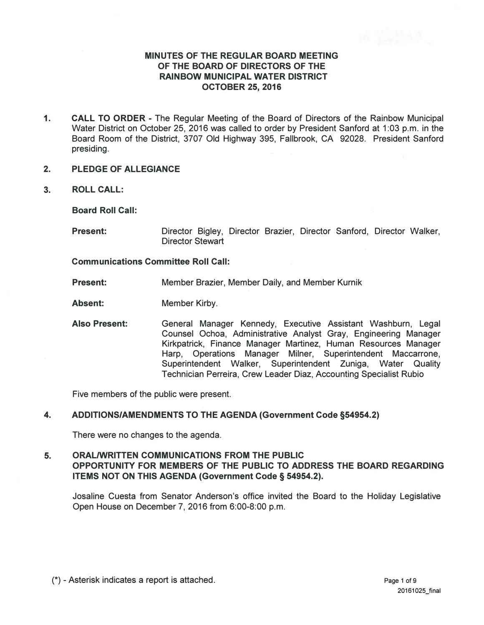# **MINUTES OF THE REGULAR BOARD MEETING OF THE BOARD OF DIRECTORS OF THE RAINBOW MUNICIPAL WATER DISTRICT OCTOBER 25, 2016**

- **1. CALL TO ORDER**  The Regular Meeting of the Board of Directors of the Rainbow Municipal Water District on October 25, 2016 was called to order by President Sanford at 1:03 p.m. in the Board Room of the District, 3707 Old Highway 395, Fallbrook, CA 92028. President Sanford presiding.
- **2. PLEDGE OF ALLEGIANCE**
- **3. ROLL CALL:**

**Board Roll Call:**

**Present:** Director Bigley, Director Brazier, Director Sanford, Director Walker, Director Stewart

## **Communications Committee Roll Call:**

**Present:**  Member Brazier, Member Daily, and Member Kurnik

**Absent:**  Member Kirby.

**Also Present:** General Manager Kennedy, Executive Assistant Washburn, Legal Counsel Ochoa, Administrative Analyst Gray, Engineering Manager Kirkpatrick, Finance Manager Martinez, Human Resources Manager Harp, Operations Manager Milner, Superintendent Maccarrone, Superintendent Walker, Superintendent Zuniga, Water Quality Technician Perreira, Crew Leader Diaz, Accounting Specialist Rubio

Five members of the public were present.

## **4. ADDITIONS/AMENDMENTS TO THE AGENDA (Government Code §54954.2)**

There were no changes to the agenda.

# **5. ORAL/WRITTEN COMMUNICATIONS FROM THE PUBLIC OPPORTUNITY FOR MEMBERS OF THE PUBLIC TO ADDRESS THE BOARD REGARDING ITEMS NOT ON THIS AGENDA (Government Code § 54954.2).**

Josaline Cuesta from Senator Anderson's office invited the Board to the Holiday Legislative Open House on December 7, 2016 from 6:00-8:00 p.m.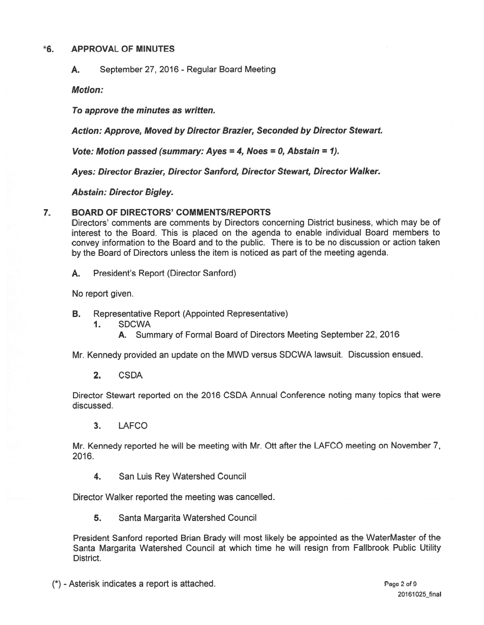### $*6.$ **APPROVAL OF MINUTES**

September 27, 2016 - Regular Board Meeting А.

**Motion:** 

To approve the minutes as written.

Action: Approve, Moved by Director Brazier, Seconded by Director Stewart.

Vote: Motion passed (summary: Ayes = 4, Noes = 0, Abstain = 1).

Ayes: Director Brazier, Director Sanford, Director Stewart, Director Walker.

**Abstain: Director Bigley.** 

#### **BOARD OF DIRECTORS' COMMENTS/REPORTS**  $\overline{7}$ .

Directors' comments are comments by Directors concerning District business, which may be of interest to the Board. This is placed on the agenda to enable individual Board members to convey information to the Board and to the public. There is to be no discussion or action taken by the Board of Directors unless the item is noticed as part of the meeting agenda.

President's Report (Director Sanford) А.

No report given.

- Representative Report (Appointed Representative) **B.** 
	- $\mathbf{1}$ . **SDCWA** 
		- A. Summary of Formal Board of Directors Meeting September 22, 2016

Mr. Kennedy provided an update on the MWD versus SDCWA lawsuit. Discussion ensued.

 $2<sub>-</sub>$ **CSDA** 

Director Stewart reported on the 2016 CSDA Annual Conference noting many topics that were discussed.

 $3<sub>1</sub>$ **LAFCO** 

Mr. Kennedy reported he will be meeting with Mr. Ott after the LAFCO meeting on November 7, 2016.

4. San Luis Rey Watershed Council

Director Walker reported the meeting was cancelled.

 $5.$ Santa Margarita Watershed Council

President Sanford reported Brian Brady will most likely be appointed as the WaterMaster of the Santa Margarita Watershed Council at which time he will resign from Fallbrook Public Utility District.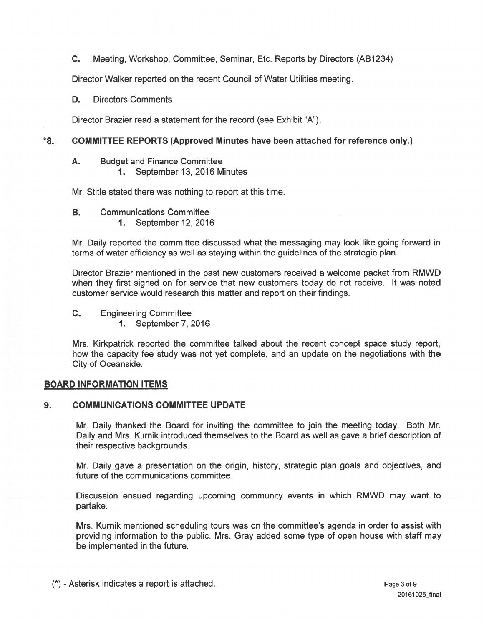### $\mathbf{C}$ . Meeting, Workshop, Committee, Seminar, Etc. Reports by Directors (AB1234)

Director Walker reported on the recent Council of Water Utilities meeting.

**Directors Comments** D.

Director Brazier read a statement for the record (see Exhibit "A").

### $*8.$ **COMMITTEE REPORTS (Approved Minutes have been attached for reference only.)**

- **Budget and Finance Committee** А.
	- 1. September 13, 2016 Minutes

Mr. Stitle stated there was nothing to report at this time.

- **B. Communications Committee** 
	- 1. September 12, 2016

Mr. Daily reported the committee discussed what the messaging may look like going forward in terms of water efficiency as well as staying within the guidelines of the strategic plan.

Director Brazier mentioned in the past new customers received a welcome packet from RMWD when they first signed on for service that new customers today do not receive. It was noted customer service would research this matter and report on their findings.

 $C_{-}$ **Engineering Committee** 

**1.** September 7, 2016

Mrs. Kirkpatrick reported the committee talked about the recent concept space study report, how the capacity fee study was not yet complete, and an update on the negotiations with the City of Oceanside.

# **BOARD INFORMATION ITEMS**

#### **COMMUNICATIONS COMMITTEE UPDATE**  $9<sub>1</sub>$

Mr. Daily thanked the Board for inviting the committee to join the meeting today. Both Mr. Daily and Mrs. Kurnik introduced themselves to the Board as well as gave a brief description of their respective backgrounds.

Mr. Daily gave a presentation on the origin, history, strategic plan goals and objectives, and future of the communications committee.

Discussion ensued regarding upcoming community events in which RMWD may want to partake.

Mrs. Kurnik mentioned scheduling tours was on the committee's agenda in order to assist with providing information to the public. Mrs. Gray added some type of open house with staff may be implemented in the future.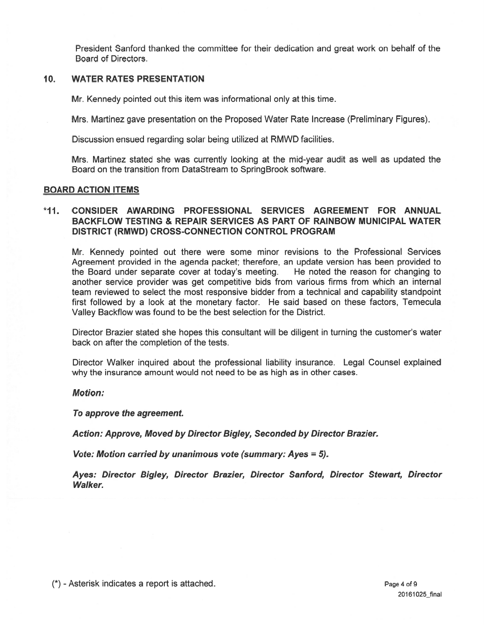President Sanford thanked the committee for their dedication and great work on behalf of the Board of Directors.

### $10.$ **WATER RATES PRESENTATION**

Mr. Kennedy pointed out this item was informational only at this time.

Mrs. Martinez gave presentation on the Proposed Water Rate Increase (Preliminary Figures).

Discussion ensued regarding solar being utilized at RMWD facilities.

Mrs. Martinez stated she was currently looking at the mid-year audit as well as updated the Board on the transition from DataStream to SpringBrook software.

## **BOARD ACTION ITEMS**

### $*11.$ CONSIDER AWARDING PROFESSIONAL SERVICES AGREEMENT FOR ANNUAL **BACKFLOW TESTING & REPAIR SERVICES AS PART OF RAINBOW MUNICIPAL WATER** DISTRICT (RMWD) CROSS-CONNECTION CONTROL PROGRAM

Mr. Kennedy pointed out there were some minor revisions to the Professional Services Agreement provided in the agenda packet; therefore, an update version has been provided to the Board under separate cover at today's meeting. He noted the reason for changing to another service provider was get competitive bids from various firms from which an internal team reviewed to select the most responsive bidder from a technical and capability standpoint first followed by a look at the monetary factor. He said based on these factors, Temecula Valley Backflow was found to be the best selection for the District.

Director Brazier stated she hopes this consultant will be diligent in turning the customer's water back on after the completion of the tests.

Director Walker inquired about the professional liability insurance. Legal Counsel explained why the insurance amount would not need to be as high as in other cases.

## **Motion:**

To approve the agreement.

Action: Approve, Moved by Director Bigley, Seconded by Director Brazier.

Vote: Motion carried by unanimous vote (summary: Ayes = 5).

Aves: Director Bigley, Director Brazier, Director Sanford, Director Stewart, Director **Walker.**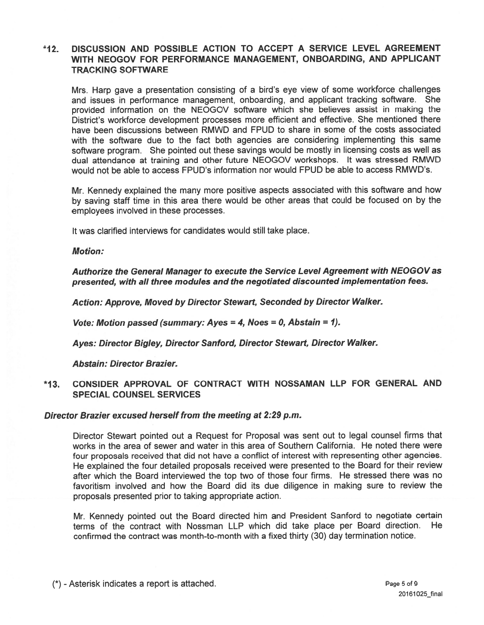### DISCUSSION AND POSSIBLE ACTION TO ACCEPT A SERVICE LEVEL AGREEMENT  $*12.$ WITH NEOGOV FOR PERFORMANCE MANAGEMENT, ONBOARDING, AND APPLICANT **TRACKING SOFTWARE**

Mrs. Harp gave a presentation consisting of a bird's eye view of some workforce challenges and issues in performance management, onboarding, and applicant tracking software. She provided information on the NEOGOV software which she believes assist in making the District's workforce development processes more efficient and effective. She mentioned there have been discussions between RMWD and FPUD to share in some of the costs associated with the software due to the fact both agencies are considering implementing this same software program. She pointed out these savings would be mostly in licensing costs as well as dual attendance at training and other future NEOGOV workshops. It was stressed RMWD would not be able to access FPUD's information nor would FPUD be able to access RMWD's.

Mr. Kennedy explained the many more positive aspects associated with this software and how by saving staff time in this area there would be other areas that could be focused on by the employees involved in these processes.

It was clarified interviews for candidates would still take place.

## **Motion:**

Authorize the General Manager to execute the Service Level Agreement with NEOGOV as presented, with all three modules and the negotiated discounted implementation fees.

Action: Approve, Moved by Director Stewart, Seconded by Director Walker.

Vote: Motion passed (summary: Ayes = 4, Noes = 0, Abstain = 1).

Ayes: Director Bigley, Director Sanford, Director Stewart, Director Walker.

**Abstain: Director Brazier.** 

### CONSIDER APPROVAL OF CONTRACT WITH NOSSAMAN LLP FOR GENERAL AND  $*13.$ **SPECIAL COUNSEL SERVICES**

## Director Brazier excused herself from the meeting at 2:29 p.m.

Director Stewart pointed out a Request for Proposal was sent out to legal counsel firms that works in the area of sewer and water in this area of Southern California. He noted there were four proposals received that did not have a conflict of interest with representing other agencies. He explained the four detailed proposals received were presented to the Board for their review after which the Board interviewed the top two of those four firms. He stressed there was no favoritism involved and how the Board did its due diligence in making sure to review the proposals presented prior to taking appropriate action.

Mr. Kennedy pointed out the Board directed him and President Sanford to negotiate certain terms of the contract with Nossman LLP which did take place per Board direction. He confirmed the contract was month-to-month with a fixed thirty (30) day termination notice.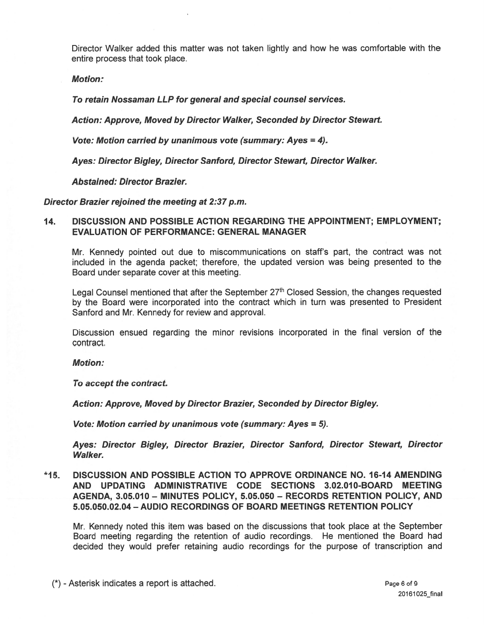Director Walker added this matter was not taken lightly and how he was comfortable with the entire process that took place.

**Motion:** 

To retain Nossaman LLP for general and special counsel services.

Action: Approve, Moved by Director Walker, Seconded by Director Stewart.

Vote: Motion carried by unanimous vote (summary: Ayes = 4).

Ayes: Director Bigley, Director Sanford, Director Stewart, Director Walker.

**Abstained: Director Brazier.** 

Director Brazier rejoined the meeting at 2:37 p.m.

### 14. DISCUSSION AND POSSIBLE ACTION REGARDING THE APPOINTMENT; EMPLOYMENT; **EVALUATION OF PERFORMANCE: GENERAL MANAGER**

Mr. Kennedy pointed out due to miscommunications on staff's part, the contract was not included in the agenda packet; therefore, the updated version was being presented to the Board under separate cover at this meeting.

Legal Counsel mentioned that after the September 27th Closed Session, the changes requested by the Board were incorporated into the contract which in turn was presented to President Sanford and Mr. Kennedy for review and approval.

Discussion ensued regarding the minor revisions incorporated in the final version of the contract.

**Motion:** 

To accept the contract.

Action: Approve, Moved by Director Brazier, Seconded by Director Bigley.

Vote: Motion carried by unanimous vote (summary: Ayes = 5).

Ayes: Director Bigley, Director Brazier, Director Sanford, Director Stewart, Director **Walker.** 

**DISCUSSION AND POSSIBLE ACTION TO APPROVE ORDINANCE NO. 16-14 AMENDING**  $*15.$ AND UPDATING ADMINISTRATIVE CODE SECTIONS 3.02.010-BOARD MEETING AGENDA, 3.05.010 - MINUTES POLICY, 5.05.050 - RECORDS RETENTION POLICY, AND 5.05.050.02.04 - AUDIO RECORDINGS OF BOARD MEETINGS RETENTION POLICY

Mr. Kennedy noted this item was based on the discussions that took place at the September Board meeting regarding the retention of audio recordings. He mentioned the Board had decided they would prefer retaining audio recordings for the purpose of transcription and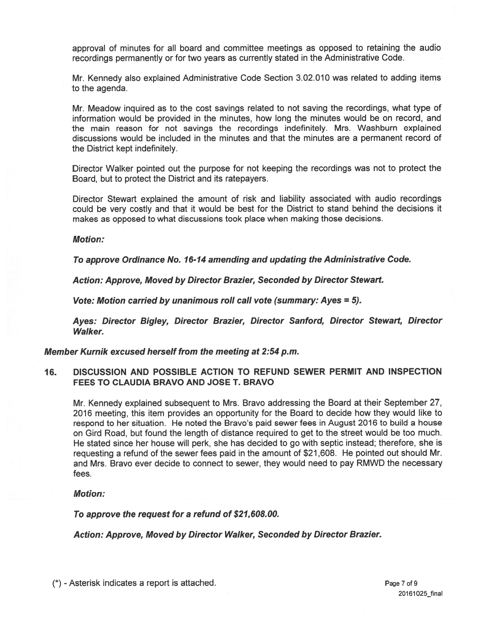approval of minutes for all board and committee meetings as opposed to retaining the audio recordings permanently or for two years as currently stated in the Administrative Code.

Mr. Kennedy also explained Administrative Code Section 3.02.010 was related to adding items to the agenda.

Mr. Meadow inquired as to the cost savings related to not saving the recordings, what type of information would be provided in the minutes, how long the minutes would be on record, and the main reason for not savings the recordings indefinitely. Mrs. Washburn explained discussions would be included in the minutes and that the minutes are a permanent record of the District kept indefinitely.

Director Walker pointed out the purpose for not keeping the recordings was not to protect the Board, but to protect the District and its ratepayers.

Director Stewart explained the amount of risk and liability associated with audio recordings could be very costly and that it would be best for the District to stand behind the decisions it makes as opposed to what discussions took place when making those decisions.

## **Motion:**

To approve Ordinance No. 16-14 amending and updating the Administrative Code.

Action: Approve, Moved by Director Brazier, Seconded by Director Stewart.

Vote: Motion carried by unanimous roll call vote (summary: Ayes = 5).

Ayes: Director Bigley, Director Brazier, Director Sanford, Director Stewart, Director **Walker.** 

Member Kurnik excused herself from the meeting at 2:54 p.m.

### DISCUSSION AND POSSIBLE ACTION TO REFUND SEWER PERMIT AND INSPECTION 16. FEES TO CLAUDIA BRAVO AND JOSE T. BRAVO

Mr. Kennedy explained subsequent to Mrs. Bravo addressing the Board at their September 27, 2016 meeting, this item provides an opportunity for the Board to decide how they would like to respond to her situation. He noted the Bravo's paid sewer fees in August 2016 to build a house on Gird Road, but found the length of distance required to get to the street would be too much. He stated since her house will perk, she has decided to go with septic instead; therefore, she is requesting a refund of the sewer fees paid in the amount of \$21,608. He pointed out should Mr. and Mrs. Bravo ever decide to connect to sewer, they would need to pay RMWD the necessary fees.

## **Motion:**

To approve the request for a refund of \$21,608.00.

Action: Approve, Moved by Director Walker, Seconded by Director Brazier.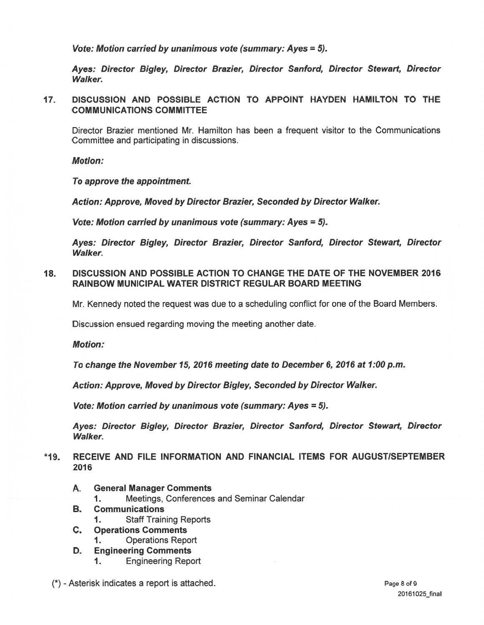Vote: Motion carried by unanimous vote (summary: Ayes = 5).

Ayes: Director Bigley, Director Brazier, Director Sanford, Director Stewart, Director **Walker.** 

 $17.$ DISCUSSION AND POSSIBLE ACTION TO APPOINT HAYDEN HAMILTON TO THE **COMMUNICATIONS COMMITTEE** 

Director Brazier mentioned Mr. Hamilton has been a frequent visitor to the Communications Committee and participating in discussions.

**Motion:** 

To approve the appointment.

Action: Approve, Moved by Director Brazier, Seconded by Director Walker.

Vote: Motion carried by unanimous vote (summary: Ayes = 5).

Ayes: Director Bigley, Director Brazier, Director Sanford, Director Stewart, Director **Walker.** 

DISCUSSION AND POSSIBLE ACTION TO CHANGE THE DATE OF THE NOVEMBER 2016  $18.$ **RAINBOW MUNICIPAL WATER DISTRICT REGULAR BOARD MEETING** 

Mr. Kennedy noted the request was due to a scheduling conflict for one of the Board Members.

Discussion ensued regarding moving the meeting another date.

**Motion:** 

To change the November 15, 2016 meeting date to December 6, 2016 at 1:00 p.m.

Action: Approve, Moved by Director Bigley, Seconded by Director Walker.

Vote: Motion carried by unanimous vote (summary: Ayes = 5).

Ayes: Director Bigley, Director Brazier, Director Sanford, Director Stewart, Director **Walker.** 

### RECEIVE AND FILE INFORMATION AND FINANCIAL ITEMS FOR AUGUST/SEPTEMBER  $*19.$ 2016

- A. **General Manager Comments** 
	- Meetings, Conferences and Seminar Calendar  $1 -$
- **B. Communications** 
	- **Staff Training Reports**  $\mathbf 1$
- C. **Operations Comments** 
	- **Operations Report**  $\mathbf 1$
- D. **Engineering Comments** 
	- **Engineering Report**  $\mathbf{1}$ .
- (\*) Asterisk indicates a report is attached.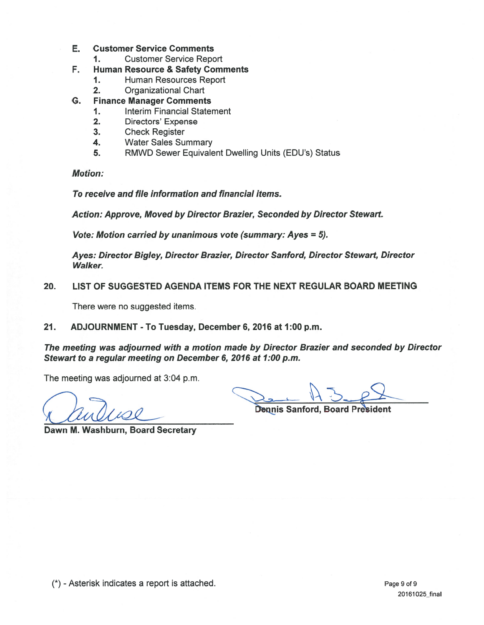#### E. **Customer Service Comments**

 $\mathbf{1}$ . **Customer Service Report** 

#### F. **Human Resource & Safety Comments**

- $1<sub>1</sub>$ Human Resources Report
- $2.$ **Organizational Chart**
- G. **Finance Manager Comments** 
	- **Interim Financial Statement**  $1.$
	- $2.$ **Directors' Expense**
	- $3.$ **Check Register**
	- 4. **Water Sales Summary**
	- 5. RMWD Sewer Equivalent Dwelling Units (EDU's) Status

**Motion:** 

To receive and file information and financial items.

Action: Approve, Moved by Director Brazier, Seconded by Director Stewart.

Vote: Motion carried by unanimous vote (summary: Ayes = 5).

Ayes: Director Bigley, Director Brazier, Director Sanford, Director Stewart, Director **Walker.** 

LIST OF SUGGESTED AGENDA ITEMS FOR THE NEXT REGULAR BOARD MEETING 20.

There were no suggested items.

 $21.$ ADJOURNMENT - To Tuesday, December 6, 2016 at 1:00 p.m.

The meeting was adjourned with a motion made by Director Brazier and seconded by Director Stewart to a regular meeting on December 6, 2016 at 1:00 p.m.

The meeting was adjourned at 3:04 p.m.

**Dennis Sanford, Board President** 

Dawn M. Washburn, Board Secretary